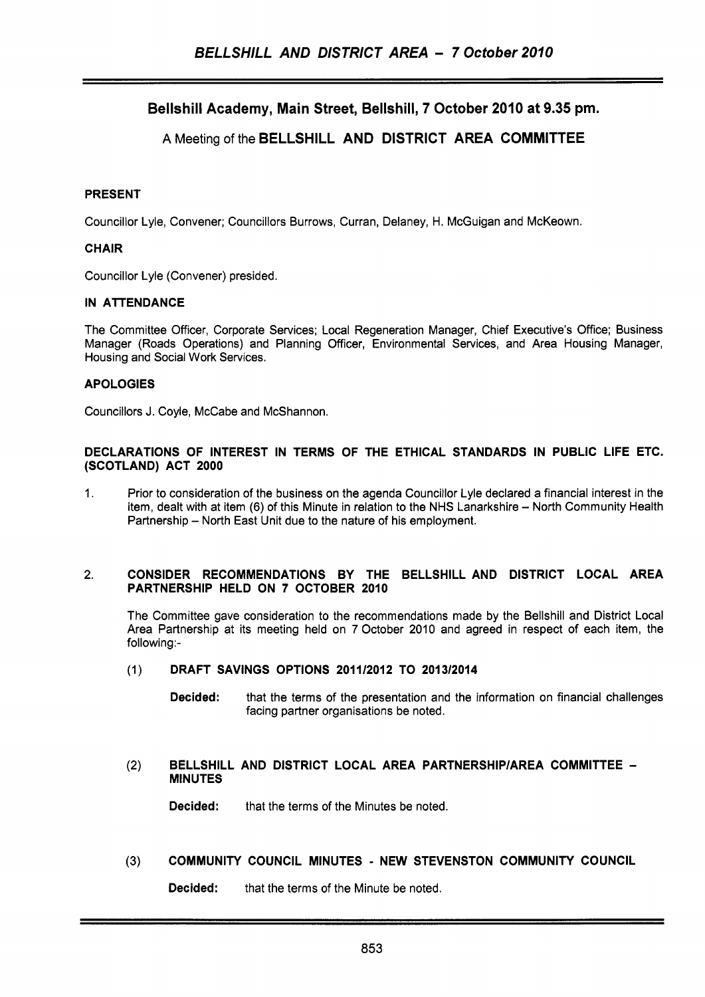# **Bellshill Academy, Main Street, Bellshill, 7 October 2010 at 9.35 pm.**

# **A** Meeting of the **BELLSHILL AND DISTRICT AREA COMMITTEE**

# **PRESENT**

Councillor Lyle, Convener; Councillors Burrows, Curran, Delaney, H. McGuigan and McKeown.

# **CHAIR**

Councillor Lyle (Convener) presided.

# **IN ATTENDANCE**

The Committee Officer, Corporate Services; Local Regeneration Manager, Chief Executive's Office; Business Manager (Roads Operations) and Planning Officer, Environmental Services, and Area Housing Manager, Housing and Social Work Services.

# **APOLOGIES**

Councillors J. Coyle, McCabe and McShannon.

#### **DECLARATIONS OF INTEREST IN TERMS OF THE ETHICAL STANDARDS IN PUBLIC LIFE ETC. (SCOTLAND) ACT 2000**

1. Prior to consideration of the business on the agenda Councillor Lyle declared a financial interest in the item, dealt with at item (6) of this Minute in relation to the NHS Lanarkshire - North Community Health Partnership - North East Unit due to the nature of his employment.

#### **2. CONSIDER RECOMMENDATIONS BY THE BELLSHILL AND DISTRICT LOCAL AREA PARTNERSHIP HELD ON 7 OCTOBER 2010**

The Committee gave consideration to the recommendations made by the Bellshill and District Local Area Partnership at its meeting held on 7 October 2010 and agreed in respect of each item, the following:-

# (1) **DRAFT SAVINGS OPTIONS 2011/2012 TO 201312014**

**Decided:** that the terms of the presentation and the information on financial challenges facing partner organisations be noted.

#### **(2) BELLSHILL AND DISTRICT LOCAL AREA PARTNERSHlPlAREA COMMITTEE** - **MINUTES**

**Decided:** that the terms of the Minutes be noted.

# **(3) COMMUNITY COUNCIL MINUTES** - **NEW STEVENSTON COMMUNITY COUNCIL**

**Decided:** that the terms of the Minute be noted.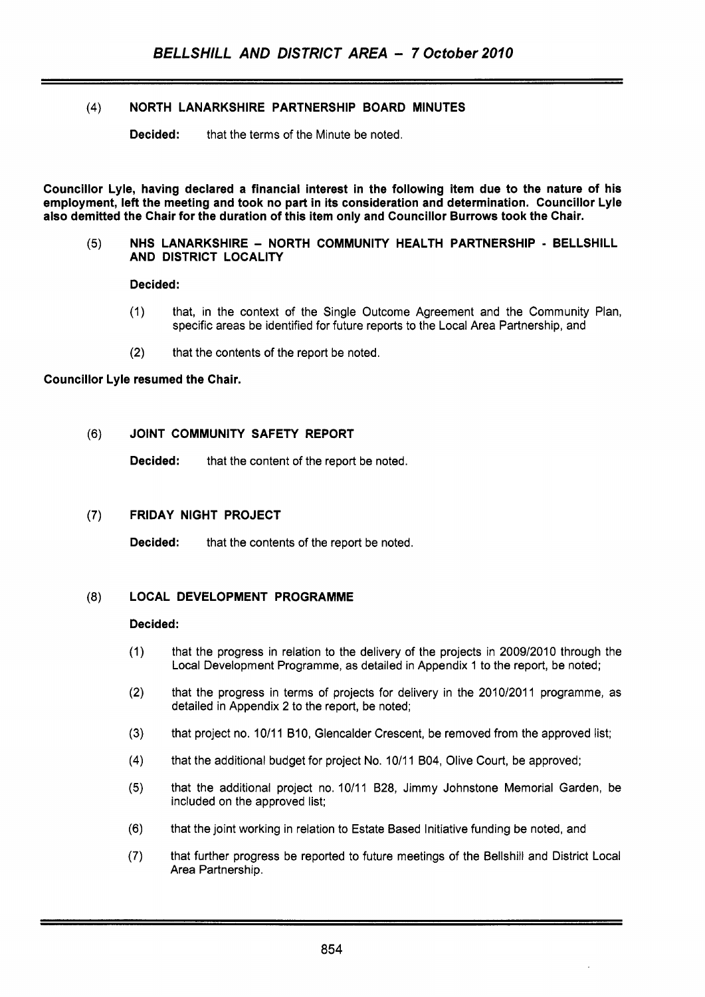# **(4)** NORTH LANARKSHIRE PARTNERSHIP BOARD MINUTES

**Decided:** that the terms of the Minute be noted.

~~~ ~~ ~~~ ~

Councillor Lyle, having declared a financial interest in the following item due to the nature of his employment, left the meeting and took no part in its consideration and determination. Councillor Lyle also demitted the Chair for the duration of this item only and Councillor Burrows took the Chair.

#### (5) NHS LANARKSHIRE - NORTH COMMUNITY HEALTH PARTNERSHIP - BELLSHILL AND DISTRICT LOCALITY

Decided:

- (1) that, in the context of the Single Outcome Agreement and the Community Plan, specific areas be identified for future reports to the Local Area Partnership, and
- (2) that the contents of the report be noted.

#### Councillor Lyle resumed the Chair.

# (6) JOINT COMMUNITY SAFETY REPORT

Decided: that the content of the report be noted.

# (7) FRIDAY NIGHT PROJECT

Decided: that the contents of the report be noted.

# (8) LOCAL DEVELOPMENT PROGRAMME

#### Decided:

- $(1)$ that the progress in relation to the delivery of the projects in 2009/2010 through the Local Development Programme, as detailed in Appendix 1 to the report, be noted;
- $(2)$ that the progress in terms of projects for delivery in the 2010/2011 programme, as detailed in Appendix 2 to the report, be noted;
- $(3)$ that project no. 10/11 B10, Glencalder Crescent, be removed from the approved list;
- $(4)$ that the additional budget for project **No.** 10/11 **604,** Olive Court, be approved;
- $(5)$ that the additional project no. 10/11 **628,** Jimmy Johnstone Memorial Garden, be included on the approved list;
- $(6)$ that the joint working in relation to Estate Based Initiative funding be noted, and
- $(7)$ that further progress be reported to future meetings of the Bellshill and District Local Area Partnership.